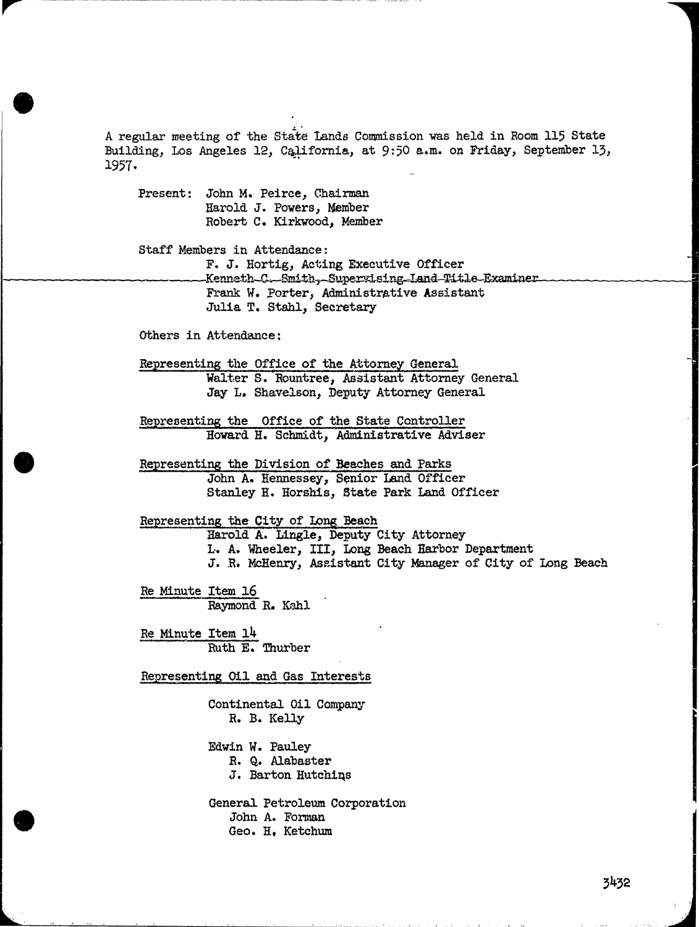A regular meeting of the State Lands Commission was held in Room 115 State Building, Los Angeles 12, California, at 9:50 a.m. on Friday, September 13, 1957

Present: John M. Peirce, Chairman Harold J. Powers, Member Robert C. Kirkwood, Member

Staff Members in Attendance :

F. J. Hortig, Acting Executive Officer Kenneth-C. Smith, Supervising Land-Title Examiner Frank W. Porter, Administrative Assistant Julia T. Stahl, Secretary

Others in Attendance:

Representing the Office of the Attorney General Walter S. Rountree, Assistant Attorney General Jay L. Shavelson, Deputy Attorney General

Representing the Office of the State Controller Howard H. Schmidt, Administrative Adviser

Representing the Division of Beaches and Parks John A. Hennessey, Senior Land Officer Stanley H. Horshis, State Park Land Officer

## Representing the City of Long Beach

Harold A. Lingle, Deputy City Attorney L. A. Wheeler, III, Long Beach Harbor Department J. R. McHenry, Assistant City Manager of City of Long Beach

Re Minute Item 16 Raymond R. Kahl

Re Minute Item 14 Ruth E. Thurber

Representing Oil and Gas Interests

Continental Oil Company R. B. Kelly

Edwin W. Pauley

R. Q. Alabaster

J. Barton Hutchins

General Petroleum Corporation John A. Forman Geo. H. Ketchum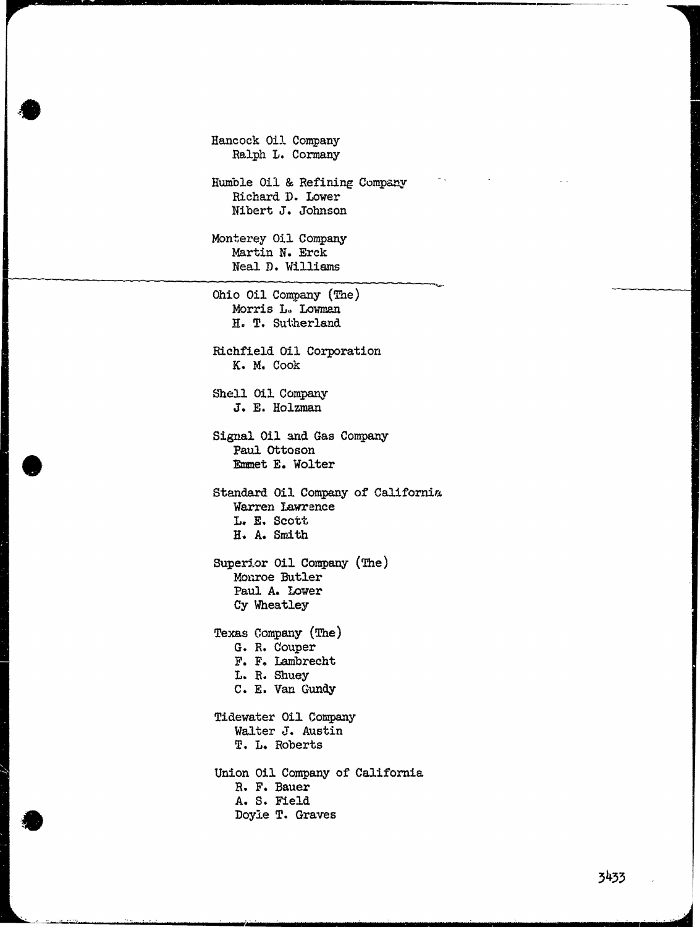Hancock Oil Company Ralph L. Cormany Humble Oil & Refining Company Richard D. Lower Nibert J. Johnson Monterey Oil Company Martin N. Erck Neal D. Williams Ohio Oil Company (The) Morris L. Lowman H. T. Sutherland Richfield Oil Corporation K. M. Cook Shell Oil Company J. E. Holzman Signal Oil and Gas Company Paul Ottoson Emmet E. Wolter Standard Oil Company of California Warren Lawrence L. E. Scott H. A. Smith Superior Oil Company (The) Monroe Butler Paul A. Lower Cy Wheatley Texas Company (The) G. R. Couper F. F. Lambrecht L. R. Shuey C. E. Van Gundy Tidewater Oil Company Walter J. Austin T. L. Roberts Union Oil Company of California R. F. Bauer A. S. Field Doyle T. Graves